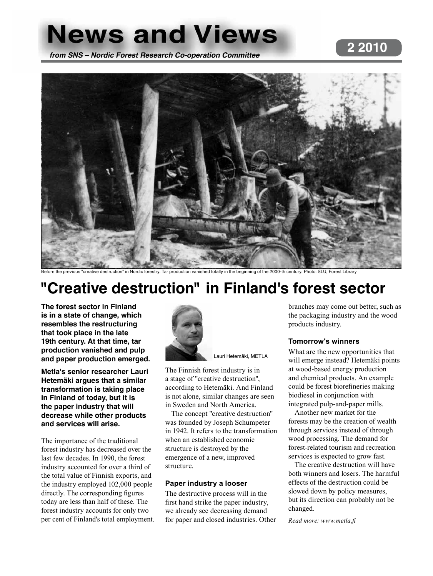# **News and Views 2 2010 from SNS – Nordic Forest Research Co-operation Committee**



e destruction" in Nordic forestry. Tar production vanished totally in the beginning of the 2000-th century. Photo: SLU, Forest Library

# **"Creative destruction" in Finland's forest sector**

**The forest sector in Finland is in a state of change, which resembles the restructuring that took place in the late 19th century. At that time, tar production vanished and pulp and paper production emerged.** 

**Metla's senior researcher Lauri Hetemäki argues that a similar transformation is taking place in Finland of today, but it is the paper industry that will decrease while other products and services will arise.**

The importance of the traditional forest industry has decreased over the last few decades. In 1990, the forest industry accounted for over a third of the total value of Finnish exports, and the industry employed 102,000 people directly. The corresponding figures today are less than half of these. The forest industry accounts for only two per cent of Finland's total employment.



Lauri Hetemäki, METLA

The Finnish forest industry is in a stage of "creative destruction", according to Hetemäki. And Finland is not alone, similar changes are seen in Sweden and North America.

The concept "creative destruction" was founded by Joseph Schumpeter in 1942. It refers to the transformation when an established economic structure is destroyed by the emergence of a new, improved structure.

#### **Paper industry a looser**

The destructive process will in the first hand strike the paper industry, we already see decreasing demand for paper and closed industries. Other branches may come out better, such as the packaging industry and the wood products industry.

#### **Tomorrow's winners**

What are the new opportunities that will emerge instead? Hetemäki points at wood-based energy production and chemical products. An example could be forest biorefineries making biodiesel in conjunction with integrated pulp-and-paper mills.

Another new market for the forests may be the creation of wealth through services instead of through wood processing. The demand for forest-related tourism and recreation services is expected to grow fast.

The creative destruction will have both winners and losers. The harmful effects of the destruction could be slowed down by policy measures, but its direction can probably not be changed.

*Read more: www.metla.fi*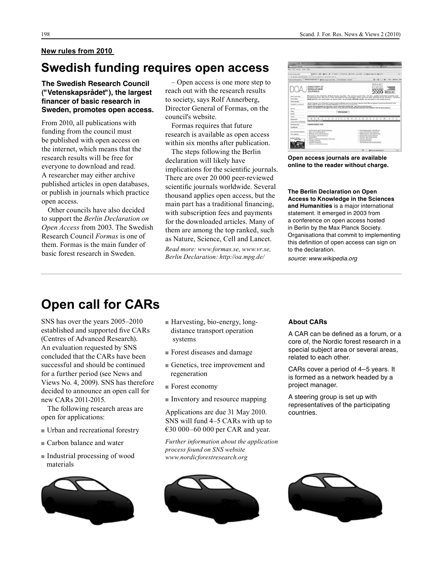#### **New rules from 2010**

### **Swedish funding requires open access**

#### **The Swedish Research Council ("Vetenskapsrådet"), the largest financer of basic research in Sweden, promotes open access.**

From 2010, all publications with funding from the council must be published with open access on the internet, which means that the research results will be free for everyone to download and read. A researcher may either archive published articles in open databases, or publish in journals which practice open access.

Other councils have also decided to support the *Berlin Declaration on Open Access* from 2003. The Swedish Research Council *Formas* is one of them. Formas is the main funder of basic forest research in Sweden.

– Open access is one more step to reach out with the research results to society, says Rolf Annerberg, Director General of Formas, on the council's website.

Formas requires that future research is available as open access within six months after publication.

The steps following the Berlin declaration will likely have implications for the scientific journals. There are over 20 000 peer-reviewed scientific journals worldwide. Several thousand applies open access, but the main part has a traditional financing, with subscription fees and payments for the downloaded articles. Many of them are among the top ranked, such as Nature, Science, Cell and Lancet.

*Read more: www.formas.se, www.vr.se, Berlin Declaration: http://oa.mpg.de/*

| 4 and model dealers. Wednesday and the                                                     |                                                                                                                                                                                                                                                                                                                                                                                                                                                                                                                                                                                                                                                                                                                                                                                                                                                                      |                                       |                                                                                                                      |           |
|--------------------------------------------------------------------------------------------|----------------------------------------------------------------------------------------------------------------------------------------------------------------------------------------------------------------------------------------------------------------------------------------------------------------------------------------------------------------------------------------------------------------------------------------------------------------------------------------------------------------------------------------------------------------------------------------------------------------------------------------------------------------------------------------------------------------------------------------------------------------------------------------------------------------------------------------------------------------------|---------------------------------------|----------------------------------------------------------------------------------------------------------------------|-----------|
| 1 December 440.00                                                                          |                                                                                                                                                                                                                                                                                                                                                                                                                                                                                                                                                                                                                                                                                                                                                                                                                                                                      |                                       | $-11411$                                                                                                             |           |
| Auto Var Graham Andrea Farks                                                               |                                                                                                                                                                                                                                                                                                                                                                                                                                                                                                                                                                                                                                                                                                                                                                                                                                                                      |                                       |                                                                                                                      |           |
| <b>GREATER</b><br><b>AT 700-444</b>                                                        | all to 1-61 Block B. Cheese Themes Miller County 12 Sept Street Security<br>L. & String all commission of all dealership ages of                                                                                                                                                                                                                                                                                                                                                                                                                                                                                                                                                                                                                                                                                                                                     |                                       |                                                                                                                      | 後に        |
|                                                                                            | Number of the U.S. of the country of the local of the Company of American Company of the Company of the Company of the Company of the Company of the Company of the Company of the Company of the Company of the Company of th                                                                                                                                                                                                                                                                                                                                                                                                                                                                                                                                                                                                                                       |                                       | To + 22 + 11 da + 100+ beated +                                                                                      |           |
| <b>Heat Insertion</b><br><b>Bring Street</b><br>Flood anticher<br><b>Neglini a journal</b> | DIRECTORY OF<br>OPEN ACCESS<br><b>JOURNALS</b><br>Weiners to the Directory of Open Archiv, Jaumalis. This service covers dwe, full (ext., quality controlled scientific and<br>achiliarly bootists. We also be coppe all subdects and bencomen. There are now 4647 bounced to the shysdice. Currently<br>FUZZ harroots are importantly at article went. As of bades AZP239 articles are policited in the DOAI nevers.<br>back Chalanger, 2010, Backfridt, Lughl Contract Additions and Luis Momenta Across twee (2004) on change to account the lasted of the<br>tedne Luik to then brond known Fubbong of this closes manufac-<br>Support the Australians and speculas of State High up for accelerating, go to the production compo<br>We are used Markful for the support from Nova of you who have strucks abouted to the root from Excellence, but the Go of pr |                                       | SPARC<br>wari                                                                                                        |           |
| <b>Adverts</b><br><b>Edge</b><br><b>Birthday</b>                                           | <b>Electrician Controller</b>                                                                                                                                                                                                                                                                                                                                                                                                                                                                                                                                                                                                                                                                                                                                                                                                                                        |                                       |                                                                                                                      |           |
| Links<br><b>Secondary of</b><br>Long term architectur                                      | $-31 - 3$<br><b>SERVICE PROFITS</b>                                                                                                                                                                                                                                                                                                                                                                                                                                                                                                                                                                                                                                                                                                                                                                                                                                  |                                       |                                                                                                                      |           |
| <b>Minimization</b><br><b>Excellence</b>                                                   | <b>Exposé Selloni Tree</b>                                                                                                                                                                                                                                                                                                                                                                                                                                                                                                                                                                                                                                                                                                                                                                                                                                           |                                       |                                                                                                                      |           |
| For barroof intention<br><b>Black And Brown at</b>                                         | I AutoMare and Food Sciences<br>· Arts and Arthbachave<br>· Bulton and Life Sciences<br>+ Bullman and Economics<br>+ Cheverkin                                                                                                                                                                                                                                                                                                                                                                                                                                                                                                                                                                                                                                                                                                                                       |                                       | · Lautumen and Utschung<br>+ Law and Political Science<br>a Middlemachina and Martining<br>· Philosophy and furbaton |           |
| <b>SECURITY CONTINUES</b>                                                                  | 1 Earth and Environmental Sciences<br>a contrate of Micrico.<br>4 FRUST SUMMONS<br>a Modara and Archaeology                                                                                                                                                                                                                                                                                                                                                                                                                                                                                                                                                                                                                                                                                                                                                          | a Science General<br>· Sicili Stewart | · Phonics and Automotive<br>- Terminia and Englossing                                                                |           |
|                                                                                            |                                                                                                                                                                                                                                                                                                                                                                                                                                                                                                                                                                                                                                                                                                                                                                                                                                                                      |                                       | All beauty received that                                                                                             | $(1 - 1)$ |

**Open access journals are available online to the reader without charge.** 

#### **The Berlin Declaration on Open Access to Knowledge in the Sciences and Humanities** is a major international statement. It emerged in 2003 from a conference on open access hosted in Berlin by the Max Planck Society. Organisations that commit to implementing this definition of open access can sign on to the declaration.

source: www.wikipedia.org

## **Open call for CARs**

SNS has over the years 2005–2010 established and supported five CARs (Centres of Advanced Research). An evaluation requested by SNS concluded that the CARs have been successful and should be continued for a further period (see News and Views No. 4, 2009). SNS has therefore decided to announce an open call for new CARs 2011-2015.

The following research areas are open for applications:

- $\blacksquare$  Urban and recreational forestry
- $\blacksquare$  Carbon balance and water
- $\blacksquare$  Industrial processing of wood materials



- $\blacksquare$  Harvesting, bio-energy, long distance transport operation systems
- <sup>n</sup>Forest diseases and damage
- $\blacksquare$  Genetics, tree improvement and regeneration
- $\blacksquare$  Forest economy
- $\blacksquare$  Inventory and resource mapping

Applications are due 31 May 2010. SNS will fund 4–5 CARs with up to €30 000–60 000 per CAR and year.

*Further information about the application process found on SNS website www.nordicforestresearch.org* 



#### **About CARs**

A CAR can be defined as a forum, or a core of, the Nordic forest research in a special subject area or several areas, related to each other.

CARs cover a period of 4–5 years. It is formed as a network headed by a project manager.

A steering group is set up with representatives of the participating countries.

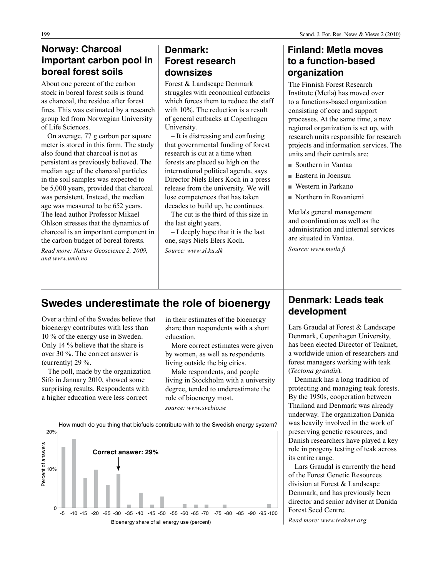### **Norway: Charcoal important carbon pool in boreal forest soils**

About one percent of the carbon stock in boreal forest soils is found as charcoal, the residue after forest fires. This was estimated by a research group led from Norwegian University of Life Sciences.

On average, 77 g carbon per square meter is stored in this form. The study also found that charcoal is not as persistent as previously believed. The median age of the charcoal particles in the soil samples was expected to be 5,000 years, provided that charcoal was persistent. Instead, the median age was measured to be 652 years. The lead author Professor Mikael Ohlson stresses that the dynamics of charcoal is an important component in the carbon budget of boreal forests.

*Read more: Nature Geoscience 2, 2009, and www.umb.no*

### **Denmark: Forest research downsizes**

Forest & Landscape Denmark struggles with economical cutbacks which forces them to reduce the staff with 10%. The reduction is a result of general cutbacks at Copenhagen University.

– It is distressing and confusing that governmental funding of forest research is cut at a time when forests are placed so high on the international political agenda, says Director Niels Elers Koch in a press release from the university. We will lose competences that has taken decades to build up, he continues.

The cut is the third of this size in the last eight years.

– I deeply hope that it is the last one, says Niels Elers Koch. *Source: www.sl.ku.dk*

### **Finland: Metla moves to a function-based organization**

The Finnish Forest Research Institute (Metla) has moved over to a functions-based organization consisting of core and support processes. At the same time, a new regional organization is set up, with research units responsible for research projects and information services. The units and their centrals are:

- <sup>n</sup> Southern in Vantaa
- $\blacksquare$  Eastern in Joensuu
- $\blacksquare$  Western in Parkano
- $\blacksquare$  Northern in Rovaniemi

Metla's general management and coordination as well as the administration and internal services are situated in Vantaa.

*Source: www.metla.fi*

### **Swedes underestimate the role of bioenergy**

Over a third of the Swedes believe that bioenergy contributes with less than 10 % of the energy use in Sweden. Only 14 % believe that the share is over 30 %. The correct answer is (currently) 29 %.

The poll, made by the organization Sifo in January 2010, showed some surprising results. Respondents with a higher education were less correct

in their estimates of the bioenergy share than respondents with a short education.

More correct estimates were given by women, as well as respondents living outside the big cities.

Male respondents, and people living in Stockholm with a university degree, tended to underestimate the role of bioenergy most. *source: www.svebio.se*



**Denmark: Leads teak development**

Lars Graudal at Forest & Landscape Denmark, Copenhagen University, has been elected Director of Teaknet, a worldwide union of researchers and forest managers working with teak (*Tectona grandis*).

Denmark has a long tradition of protecting and managing teak forests. By the 1950s, cooperation between Thailand and Denmark was already underway. The organization Danida was heavily involved in the work of preserving genetic resources, and Danish researchers have played a key role in progeny testing of teak across its entire range.

Lars Graudal is currently the head of the Forest Genetic Resources division at Forest & Landscape Denmark, and has previously been director and senior adviser at Danida Forest Seed Centre.

*Read more: www.teaknet.org*